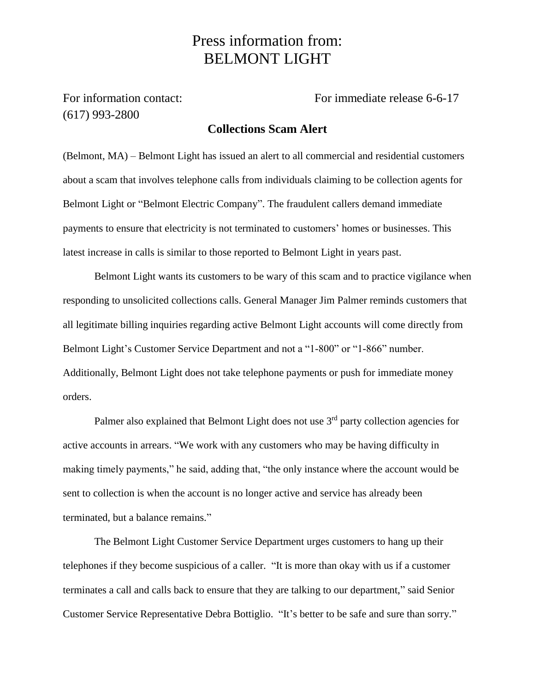## Press information from: BELMONT LIGHT

(617) 993-2800

For information contact: For immediate release 6-6-17

## **Collections Scam Alert**

(Belmont, MA) – Belmont Light has issued an alert to all commercial and residential customers about a scam that involves telephone calls from individuals claiming to be collection agents for Belmont Light or "Belmont Electric Company". The fraudulent callers demand immediate payments to ensure that electricity is not terminated to customers' homes or businesses. This latest increase in calls is similar to those reported to Belmont Light in years past.

Belmont Light wants its customers to be wary of this scam and to practice vigilance when responding to unsolicited collections calls. General Manager Jim Palmer reminds customers that all legitimate billing inquiries regarding active Belmont Light accounts will come directly from Belmont Light's Customer Service Department and not a "1-800" or "1-866" number. Additionally, Belmont Light does not take telephone payments or push for immediate money orders.

Palmer also explained that Belmont Light does not use  $3<sup>rd</sup>$  party collection agencies for active accounts in arrears. "We work with any customers who may be having difficulty in making timely payments," he said, adding that, "the only instance where the account would be sent to collection is when the account is no longer active and service has already been terminated, but a balance remains."

The Belmont Light Customer Service Department urges customers to hang up their telephones if they become suspicious of a caller. "It is more than okay with us if a customer terminates a call and calls back to ensure that they are talking to our department," said Senior Customer Service Representative Debra Bottiglio. "It's better to be safe and sure than sorry."